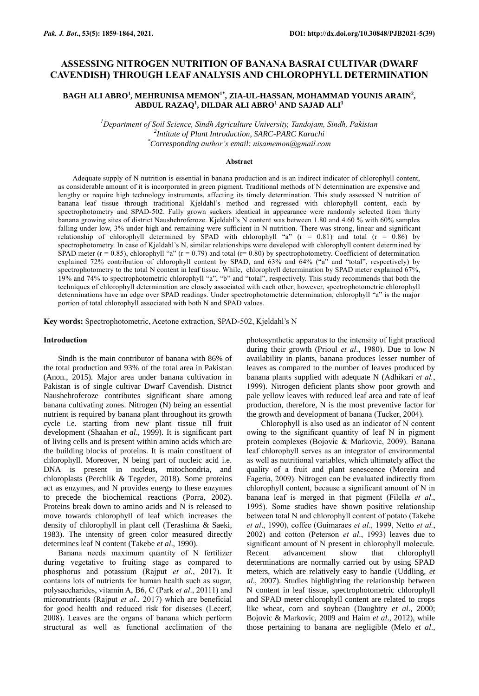# **ASSESSING NITROGEN NUTRITION OF BANANA BASRAI CULTIVAR (DWARF CAVENDISH) THROUGH LEAF ANALYSIS AND CHLOROPHYLL DETERMINATION**

# **BAGH ALI ABRO<sup>1</sup> , MEHRUNISA MEMON1\* , ZIA-UL-HASSAN, MOHAMMAD YOUNIS ARAIN<sup>2</sup> , ABDUL RAZAQ<sup>1</sup> , DILDAR ALI ABRO<sup>1</sup> AND SAJAD ALI<sup>1</sup>**

*<sup>1</sup>Department of Soil Science, Sindh Agriculture University, Tandojam, Sindh, Pakistan 2 Intitute of Plant Introduction, SARC-PARC Karachi \*Corresponding author's email: nisamemon@gmail.com*

#### **Abstract**

Adequate supply of N nutrition is essential in banana production and is an indirect indicator of chlorophyll content, as considerable amount of it is incorporated in green pigment. Traditional methods of N determination are expensive and lengthy or require high technology instruments, affecting its timely determination. This study assessed N nutrition of banana leaf tissue through traditional Kjeldahl's method and regressed with chlorophyll content, each by spectrophotometry and SPAD-502. Fully grown suckers identical in appearance were randomly selected from thirty banana growing sites of district Naushehroferoze. Kjeldahl's N content was between 1.80 and 4.60 % with 60% samples falling under low, 3% under high and remaining were sufficient in N nutrition. There was strong, linear and significant relationship of chlorophyll determined by SPAD with chlorophyll "a"  $(r = 0.81)$  and total  $(r = 0.86)$  by spectrophotometry. In case of Kjeldahl's N, similar relationships were developed with chlorophyll content determined by SPAD meter ( $r = 0.85$ ), chlorophyll "a" ( $r = 0.79$ ) and total ( $r = 0.80$ ) by spectrophotometry. Coefficient of determination explained 72% contribution of chlorophyll content by SPAD, and 63% and 64% ("a" and "total", respectively) by spectrophotometry to the total N content in leaf tissue. While, chlorophyll determination by SPAD meter explained 67%, 19% and 74% to spectrophotometric chlorophyll "a", "b" and "total", respectively. This study recommends that both the techniques of chlorophyll determination are closely associated with each other; however, spectrophotometric chlorophyll determinations have an edge over SPAD readings. Under spectrophotometric determination, chlorophyll "a" is the major portion of total chlorophyll associated with both N and SPAD values.

**Key words:** Spectrophotometric, Acetone extraction, SPAD-502, Kjeldahl's N

#### **Introduction**

Sindh is the main contributor of banana with 86% of the total production and 93% of the total area in Pakistan (Anon., 2015). Major area under banana cultivation in Pakistan is of single cultivar Dwarf Cavendish. District Naushehroferoze contributes significant share among banana cultivating zones. Nitrogen (N) being an essential nutrient is required by banana plant throughout its growth cycle i.e. starting from new plant tissue till fruit development (Shaahan *et al*., 1999). It is significant part of living cells and is present within amino acids which are the building blocks of proteins. It is main constituent of chlorophyll. Moreover, N being part of nucleic acid i.e. DNA is present in nucleus, mitochondria, and chloroplasts (Perchlik & Tegeder, 2018). Some proteins act as enzymes, and N provides energy to these enzymes to precede the biochemical reactions (Porra, 2002). Proteins break down to amino acids and N is released to move towards chlorophyll of leaf which increases the density of chlorophyll in plant cell (Terashima & Saeki, 1983). The intensity of green color measured directly determines leaf N content (Takebe *et al*., 1990).

Banana needs maximum quantity of N fertilizer during vegetative to fruiting stage as compared to phosphorus and potassium (Rajput *et al*., 2017). It contains lots of nutrients for human health such as sugar, polysaccharides, vitamin A, B6, C (Park *et al*., 20111) and micronutrients (Rajput *et al*., 2017) which are beneficial for good health and reduced risk for diseases (Lecerf, 2008). Leaves are the organs of banana which perform structural as well as functional acclimation of the

photosynthetic apparatus to the intensity of light practiced during their growth (Prioul *et al*., 1980). Due to low N availability in plants, banana produces lesser number of leaves as compared to the number of leaves produced by banana plants supplied with adequate N (Adhikari *et al.*, 1999). Nitrogen deficient plants show poor growth and pale yellow leaves with reduced leaf area and rate of leaf production, therefore, N is the most preventive factor for the growth and development of banana (Tucker, 2004).

Chlorophyll is also used as an indicator of N content owing to the significant quantity of leaf N in pigment protein complexes (Bojovic & Markovic, 2009). Banana leaf chlorophyll serves as an integrator of environmental as well as nutritional variables, which ultimately affect the quality of a fruit and plant senescence (Moreira and Fageria, 2009). Nitrogen can be evaluated indirectly from chlorophyll content, because a significant amount of N in banana leaf is merged in that pigment (Filella *et al*., 1995). Some studies have shown positive relationship between total N and chlorophyll content of potato (Takebe *et al*., 1990), coffee (Guimaraes *et al*., 1999, Netto *et al.*, 2002) and cotton (Peterson *et al*., 1993) leaves due to significant amount of N present in chlorophyll molecule. Recent advancement show that chlorophyll determinations are normally carried out by using SPAD meters, which are relatively easy to handle (Uddling, *et al*., 2007). Studies highlighting the relationship between N content in leaf tissue, spectrophotometric chlorophyll and SPAD meter chlorophyll content are related to crops like wheat, corn and soybean (Daughtry *et al*., 2000; Bojovic & Markovic, 2009 and Haim *et al*., 2012), while those pertaining to banana are negligible (Melo *et al*.,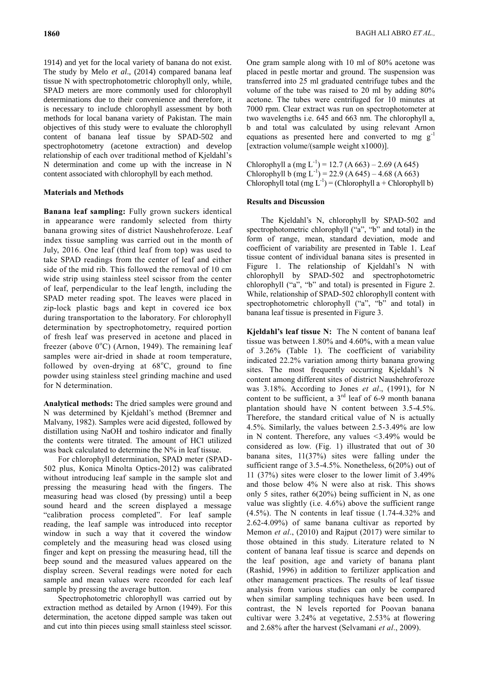1914) and yet for the local variety of banana do not exist. The study by Melo *et al*., (2014) compared banana leaf tissue N with spectrophotometric chlorophyll only, while, SPAD meters are more commonly used for chlorophyll determinations due to their convenience and therefore, it is necessary to include chlorophyll assessment by both methods for local banana variety of Pakistan. The main objectives of this study were to evaluate the chlorophyll content of banana leaf tissue by SPAD-502 and spectrophotometry (acetone extraction) and develop relationship of each over traditional method of Kjeldahl's N determination and come up with the increase in N content associated with chlorophyll by each method.

# **Materials and Methods**

**Banana leaf sampling:** Fully grown suckers identical in appearance were randomly selected from thirty banana growing sites of district Naushehroferoze. Leaf index tissue sampling was carried out in the month of July, 2016. One leaf (third leaf from top) was used to take SPAD readings from the center of leaf and either side of the mid rib. This followed the removal of 10 cm wide strip using stainless steel scissor from the center of leaf, perpendicular to the leaf length, including the SPAD meter reading spot. The leaves were placed in zip-lock plastic bags and kept in covered ice box during transportation to the laboratory. For chlorophyll determination by spectrophotometry, required portion of fresh leaf was preserved in acetone and placed in freezer (above  $0^{\circ}$ C) (Arnon, 1949). The remaining leaf samples were air-dried in shade at room temperature, followed by oven-drying at  $68^{\circ}$ C, ground to fine powder using stainless steel grinding machine and used for N determination.

**Analytical methods:** The dried samples were ground and N was determined by Kjeldahl's method (Bremner and Malvany, 1982). Samples were acid digested, followed by distillation using NaOH and toshiro indicator and finally the contents were titrated. The amount of HCl utilized was back calculated to determine the N% in leaf tissue.

For chlorophyll determination, SPAD meter (SPAD-502 plus, Konica Minolta Optics-2012) was calibrated without introducing leaf sample in the sample slot and pressing the measuring head with the fingers. The measuring head was closed (by pressing) until a beep sound heard and the screen displayed a message "calibration process completed". For leaf sample reading, the leaf sample was introduced into receptor window in such a way that it covered the window completely and the measuring head was closed using finger and kept on pressing the measuring head, till the beep sound and the measured values appeared on the display screen. Several readings were noted for each sample and mean values were recorded for each leaf sample by pressing the average button.

Spectrophotometric chlorophyll was carried out by extraction method as detailed by Arnon (1949). For this determination, the acetone dipped sample was taken out and cut into thin pieces using small stainless steel scissor. One gram sample along with 10 ml of 80% acetone was placed in pestle mortar and ground. The suspension was transferred into 25 ml graduated centrifuge tubes and the volume of the tube was raised to 20 ml by adding 80% acetone. The tubes were centrifuged for 10 minutes at 7000 rpm. Clear extract was run on spectrophotometer at two wavelengths i.e. 645 and 663 nm. The chlorophyll a, b and total was calculated by using relevant Arnon equations as presented here and converted to mg  $g^{-1}$ [extraction volume/(sample weight x1000)].

Chlorophyll a  $(mg L^{-1}) = 12.7 (A 663) - 2.69 (A 645)$ Chlorophyll b (mg L<sup>-1</sup>) = 22.9 (A 645) – 4.68 (A 663) Chlorophyll total (mg  $L^{-1}$ ) = (Chlorophyll a + Chlorophyll b)

### **Results and Discussion**

The Kjeldahl's N, chlorophyll by SPAD-502 and spectrophotometric chlorophyll ("a", "b" and total) in the form of range, mean, standard deviation, mode and coefficient of variability are presented in Table 1. Leaf tissue content of individual banana sites is presented in Figure 1. The relationship of Kjeldahl's N with chlorophyll by SPAD-502 and spectrophotometric chlorophyll ("a", "b" and total) is presented in Figure 2. While, relationship of SPAD-502 chlorophyll content with spectrophotometric chlorophyll ("a", "b" and total) in banana leaf tissue is presented in Figure 3.

**Kjeldahl's leaf tissue N:** The N content of banana leaf tissue was between 1.80% and 4.60%, with a mean value of 3.26% (Table 1). The coefficient of variability indicated 22.2% variation among thirty banana growing sites. The most frequently occurring Kjeldahl's N content among different sites of district Naushehroferoze was 3.18%. According to Jones *et al*., (1991), for N content to be sufficient, a  $3<sup>rd</sup>$  leaf of 6-9 month banana plantation should have N content between 3.5-4.5%. Therefore, the standard critical value of N is actually 4.5%. Similarly, the values between 2.5-3.49% are low in N content. Therefore, any values <3.49% would be considered as low. (Fig. 1) illustrated that out of 30 banana sites, 11(37%) sites were falling under the sufficient range of 3.5-4.5%. Nonetheless, 6(20%) out of 11 (37%) sites were closer to the lower limit of 3.49% and those below 4% N were also at risk. This shows only 5 sites, rather 6(20%) being sufficient in N, as one value was slightly (i.e. 4.6%) above the sufficient range (4.5%). The N contents in leaf tissue (1.74-4.32% and 2.62-4.09%) of same banana cultivar as reported by Memon *et al*., (2010) and Rajput (2017) were similar to those obtained in this study. Literature related to N content of banana leaf tissue is scarce and depends on the leaf position, age and variety of banana plant (Rashid, 1996) in addition to fertilizer application and other management practices. The results of leaf tissue analysis from various studies can only be compared when similar sampling techniques have been used. In contrast, the N levels reported for Poovan banana cultivar were 3.24% at vegetative, 2.53% at flowering and 2.68% after the harvest (Selvamani *et al*., 2009).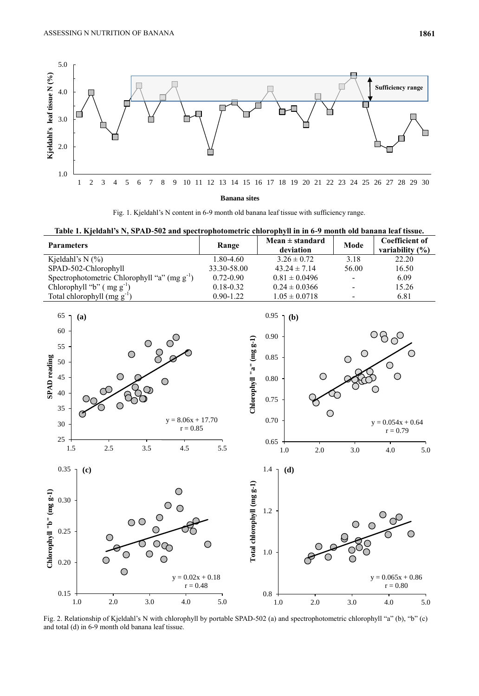

Fig. 1. Kjeldahl's N content in 6-9 month old banana leaf tissue with sufficiency range.

**Table 1. Kjeldahl's N, SPAD-502 and spectrophotometric chlorophyll in in 6-9 month old banana leaf tissue.**

| <b>Parameters</b>                                | Range         | Mean $\pm$ standard<br>deviation | Mode  | <b>Coefficient of</b><br>variability $(\% )$ |
|--------------------------------------------------|---------------|----------------------------------|-------|----------------------------------------------|
| Kjeldahl's N $(\% )$                             | 1.80-4.60     | $3.26 \pm 0.72$                  | 3.18  | 22.20                                        |
| SPAD-502-Chlorophyll                             | 33.30-58.00   | $43.24 \pm 7.14$                 | 56.00 | 16.50                                        |
| Spectrophotometric Chlorophyll "a" $(mg g^{-1})$ | $0.72 - 0.90$ | $0.81 \pm 0.0496$                |       | 6.09                                         |
| Chlorophyll "b" $(mg g^{-1})$                    | $0.18 - 0.32$ | $0.24 \pm 0.0366$                |       | 15.26                                        |
| Total chlorophyll (mg $g^{-1}$ )                 | $0.90 - 1.22$ | $1.05 \pm 0.0718$                |       | 6.81                                         |



Fig. 2. Relationship of Kjeldahl's N with chlorophyll by portable SPAD-502 (a) and spectrophotometric chlorophyll "a" (b), "b" (c) and total (d) in 6-9 month old banana leaf tissue.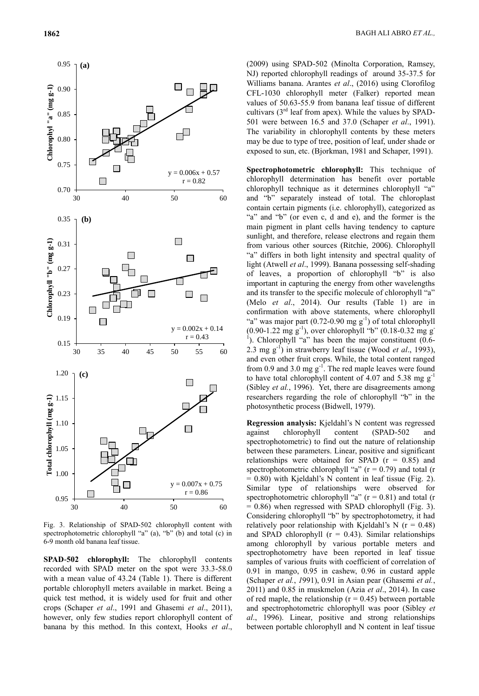

Fig. 3. Relationship of SPAD-502 chlorophyll content with spectrophotometric chlorophyll "a" (a), "b" (b) and total (c) in 6-9 month old banana leaf tissue.

**SPAD-502 chlorophyll:** The chlorophyll contents recorded with SPAD meter on the spot were 33.3-58.0 with a mean value of 43.24 (Table 1). There is different portable chlorophyll meters available in market. Being a quick test method, it is widely used for fruit and other crops (Schaper *et al*., 1991 and Ghasemi *et al*., 2011), however, only few studies report chlorophyll content of banana by this method. In this context, Hooks *et al*.,

(2009) using SPAD-502 (Minolta Corporation, Ramsey, NJ) reported chlorophyll readings of around 35-37.5 for Williams banana. Arantes *et al*., (2016) using Clorofilog CFL-1030 chlorophyll meter (Falker) reported mean values of 50.63-55.9 from banana leaf tissue of different cultivars  $(3<sup>rd</sup>$  leaf from apex). While the values by SPAD-501 were between 16.5 and 37.0 (Schaper *et al*., 1991). The variability in chlorophyll contents by these meters may be due to type of tree, position of leaf, under shade or exposed to sun, etc. (Bjorkman, 1981 and Schaper, 1991).

**Spectrophotometric chlorophyll:** This technique of chlorophyll determination has benefit over portable chlorophyll technique as it determines chlorophyll "a" and "b" separately instead of total. The chloroplast contain certain pigments (i.e. chlorophyll), categorized as "a" and "b" (or even c, d and e), and the former is the main pigment in plant cells having tendency to capture sunlight, and therefore, release electrons and regain them from various other sources (Ritchie, 2006). Chlorophyll "a" differs in both light intensity and spectral quality of light (Atwell *et al*., 1999). Banana possessing self-shading of leaves, a proportion of chlorophyll "b" is also important in capturing the energy from other wavelengths and its transfer to the specific molecule of chlorophyll "a" (Melo *et al*., 2014). Our results (Table 1) are in confirmation with above statements, where chlorophyll "a" was major part  $(0.72{\text -}0.90 \text{ mg g}^{-1})$  of total chlorophyll  $(0.90-1.22 \text{ mg g}^{-1})$ , over chlorophyll "b"  $(0.18-0.32 \text{ mg g}^{-1})$ <sup>1</sup>). Chlorophyll "a" has been the major constituent  $(0.6 -$ 2.3 mg  $g^{-1}$ ) in strawberry leaf tissue (Wood *et al.*, 1993), and even other fruit crops. While, the total content ranged from 0.9 and 3.0 mg  $g^{-1}$ . The red maple leaves were found to have total chlorophyll content of 4.07 and 5.38 mg  $g^{-1}$ (Sibley *et al.*, 1996). Yet, there are disagreements among researchers regarding the role of chlorophyll "b" in the photosynthetic process (Bidwell, 1979).

**Regression analysis:** Kjeldahl's N content was regressed against chlorophyll content (SPAD-502 and spectrophotometric) to find out the nature of relationship between these parameters. Linear, positive and significant relationships were obtained for SPAD  $(r = 0.85)$  and spectrophotometric chlorophyll "a"  $(r = 0.79)$  and total  $(r = 0.79)$  $= 0.80$ ) with Kjeldahl's N content in leaf tissue (Fig. 2). Similar type of relationships were observed for spectrophotometric chlorophyll "a"  $(r = 0.81)$  and total  $(r = 0.81)$ "  $= 0.86$ ) when regressed with SPAD chlorophyll (Fig. 3). Considering chlorophyll "b" by spectrophotometry, it had relatively poor relationship with Kjeldahl's N ( $r = 0.48$ ) and SPAD chlorophyll  $(r = 0.43)$ . Similar relationships among chlorophyll by various portable meters and spectrophotometry have been reported in leaf tissue samples of various fruits with coefficient of correlation of 0.91 in mango, 0.95 in cashew, 0.96 in custard apple (Schaper *et al.*, *1*991), 0.91 in Asian pear (Ghasemi *et al.*, 2011) and 0.85 in muskmelon (Azia *et al*., 2014). In case of red maple, the relationship ( $r = 0.45$ ) between portable and spectrophotometric chlorophyll was poor (Sibley *et al*., 1996). Linear, positive and strong relationships between portable chlorophyll and N content in leaf tissue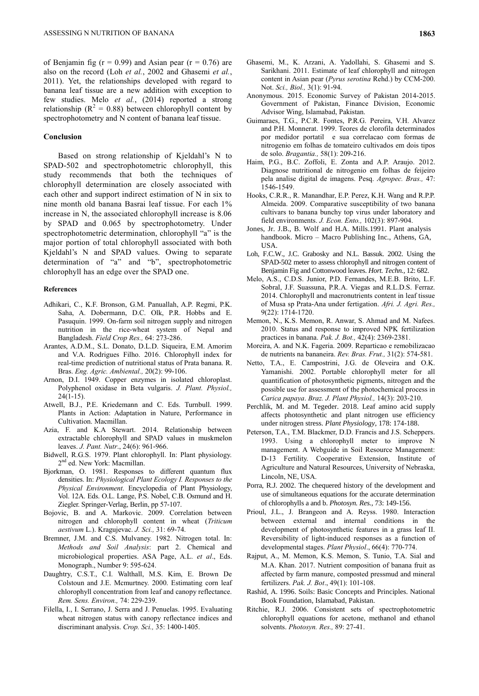of Benjamin fig ( $r = 0.99$ ) and Asian pear ( $r = 0.76$ ) are also on the record (Loh *et al.*, 2002 and Ghasemi *et al.*, 2011). Yet, the relationships developed with regard to banana leaf tissue are a new addition with exception to few studies. Melo *et al.*, (2014) reported a strong relationship ( $R^2 = 0.88$ ) between chlorophyll content by spectrophotometry and N content of banana leaf tissue.

### **Conclusion**

Based on strong relationship of Kjeldahl's N to SPAD-502 and spectrophotometric chlorophyll, this study recommends that both the techniques of chlorophyll determination are closely associated with each other and support indirect estimation of N in six to nine month old banana Basrai leaf tissue. For each 1% increase in N, the associated chlorophyll increase is 8.06 by SPAD and 0.065 by spectrophotometry. Under spectrophotometric determination, chlorophyll "a" is the major portion of total chlorophyll associated with both Kjeldahl's N and SPAD values. Owing to separate determination of "a" and "b", spectrophotometric chlorophyll has an edge over the SPAD one.

#### **References**

- Adhikari, C., K.F. Bronson, G.M. Panuallah, A.P. Regmi, P.K. Saha, A. Dobermann, D.C. Olk, P.R. Hobbs and E. Pasuquin. 1999. On-farm soil nitrogen supply and nitrogen nutrition in the rice-wheat system of Nepal and Bangladesh. *Field Crop Res.,* 64: 273-286.
- Arantes, A.D.M., S.L. Donato, D.L.D. Siqueira, E.M. Amorim and V.A. Rodrigues Filho. 2016. Chlorophyll index for real-time prediction of nutritional status of Prata banana. R. Bras. *Eng. Agric. Ambiental.,* 20(2): 99-106.
- Arnon, D.I. 1949. Copper enzymes in isolated chloroplast. Polyphenol oxidase in Beta vulgaris. *J. Plant. Physiol.,* 24(1-15).
- Atwell, B.J., P.E. Kriedemann and C. Eds. Turnbull. 1999. Plants in Action: Adaptation in Nature, Performance in Cultivation. Macmillan.
- Azia, F. and K.A Stewart. 2014. Relationship between extractable chlorophyll and SPAD values in muskmelon leaves. *J. Pant. Nutr*., 24(6): 961-966.
- Bidwell, R.G.S. 1979. Plant chlorophyll. In: Plant physiology. 2<sup>nd</sup> ed. New York: Macmillan.
- Bjorkman, O. 1981. Responses to different quantum flux densities. In: *Physiological Plant Ecology I. Responses to the Physical Environment*. Encyclopedia of Plant Physiology, Vol. 12A. Eds. O.L. Lange, P.S. Nobel, C.B. Osmund and H. Ziegler. Springer-Verlag, Berlin, pp 57-107.
- Bojovic, B. and A. Markovic. 2009. Correlation between nitrogen and chlorophyll content in wheat (*Triticum aestivum* L.). Kragujevac. *J. Sci.,* 31: 69-74.
- Bremner, J.M. and C.S. Mulvaney. 1982. Nitrogen total. In: *Methods and Soil Analysis*: part 2. Chemical and microbiological properties. ASA Page, A.L. *et al*., Eds. Monograph., Number 9: 595-624.
- Daughtry, C.S.T., C.I. Walthall, M.S. Kim, E. Brown De Colstoun and J.E. Mcmurtney. 2000. Estimating corn leaf chlorophyll concentration from leaf and canopy reflectance. *Rem. Sens. Environ.,* 74: 229-239.
- Filella, I., I. Serrano, J. Serra and J. Penuelas. 1995. Evaluating wheat nitrogen status with canopy reflectance indices and discriminant analysis. *Crop. Sci.,* 35: 1400-1405.
- Ghasemi, M., K. Arzani, A. Yadollahi, S. Ghasemi and S. Sarikhani. 2011. Estimate of leaf chlorophyll and nitrogen content in Asian pear (*Pyrus serotina* Rehd.) by CCM-200. Not. *Sci., Biol.,* 3(1): 91-94.
- Anonymous. 2015. Economic Survey of Pakistan 2014-2015. Government of Pakistan, Finance Division, Economic Advisor Wing, Islamabad, Pakistan.
- Guimaraes, T.G., P.C.R. Fontes, P.R.G. Pereira, V.H. Alvarez and P.H. Monnerat. 1999. Teores de clorofila determinados por medidor portatil e sua correlacao com formas de nitrogenio em folhas de tomateiro cultivados em dois tipos de solo. *Bragantia.,* 58(1): 209-216.
- Haim, P.G., B.C. Zoffoli, E. Zonta and A.P. Araujo. 2012. Diagnose nutritional de nitrogenio em folhas de feijeiro pela analise digital de imagens. Pesq. *Agropec. Bras.,* 47: 1546-1549.
- Hooks, C.R.R., R. Manandhar, E.P. Perez, K.H. Wang and R.P.P. Almeida. 2009. Comparative susceptibility of two banana cultivars to banana bunchy top virus under laboratory and field environments. *J. Econ. Ento.,* 102(3): 897-904.
- Jones, Jr. J.B., B. Wolf and H.A. Mills.1991. Plant analysis handbook. Micro – Macro Publishing Inc., Athens, GA, USA.
- Loh, F.C.W., J.C. Grabosky and N.L. Bassuk. 2002. Using the SPAD-502 meter to assess chlorophyll and nitrogen content of Benjamin Fig and Cottonwood leaves. *Hort. Techn.,* 12: 682.
- Melo, A.S., C.D.S. Junior, P.D. Fernandes, M.E.B. Brito, L.F. Sobral, J.F. Suassuna, P.R.A. Viegas and R.L.D.S. Ferraz. 2014. Chlorophyll and macronutrients content in leaf tissue of Musa sp Prata-Ana under fertigation. *Afri. J. Agri. Res.,* 9(22): 1714-1720.
- Memon, N., K.S. Memon, R. Anwar, S. Ahmad and M. Nafees. 2010. Status and response to improved NPK fertilization practices in banana. *Pak. J. Bot.,* 42(4): 2369-2381.
- Moreira, A. and N.K. Fageria. 2009. Reparticao e remobilizacao de nutrients na bananeira. *Rev. Bras. Frut.,* 31(2): 574-581.
- Netto, T.A., E. Campostrini, J.G. de Oleveira and O.K. Yamanishi. 2002. Portable chlorophyll meter for all quantification of photosynthetic pigments, nitrogen and the possible use for assessment of the photochemical process in *Carica papaya*. *Braz. J. Plant Physiol.,* 14(3): 203-210.
- Perchlik, M. and M. Tegeder. 2018. Leaf amino acid supply affects photosynthetic and plant nitrogen use efficiency under nitrogen stress. *Plant Physiology*, 178: 174-188.
- Peterson, T.A., T.M. Blackmer, D.D. Francis and J.S. Scheppers. 1993. Using a chlorophyll meter to improve N management. A Webguide in Soil Resource Management: D-13 Fertility. Cooperative Extension, Institute of Agriculture and Natural Resources, University of Nebraska, Lincoln, NE, USA.
- Porra, R.J. 2002. The chequered history of the development and use of simultaneous equations for the accurate determination of chlorophylls a and b. *Photosyn. Res.,* 73: 149-156.
- Prioul, J.L., J. Brangeon and A. Reyss. 1980. Interaction between external and internal conditions in the development of photosynthetic features in a grass leaf II. Reversibility of light-induced responses as a function of developmental stages. *Plant Physiol*., 66(4): 770-774.
- Rajput, A., M. Memon, K.S. Memon, S. Tunio, T.A. Sial and M.A. Khan. 2017. Nutrient composition of banana fruit as affected by farm manure, composted pressmud and mineral fertilizers. *Pak. J. Bot*., 49(1): 101-108.
- Rashid, A. 1996. Soils: Basic Concepts and Principles. National Book Foundation, Islamabad, Pakistan.
- Ritchie, R.J. 2006. Consistent sets of spectrophotometric chlorophyll equations for acetone, methanol and ethanol solvents. *Photosyn. Res.,* 89: 27-41.